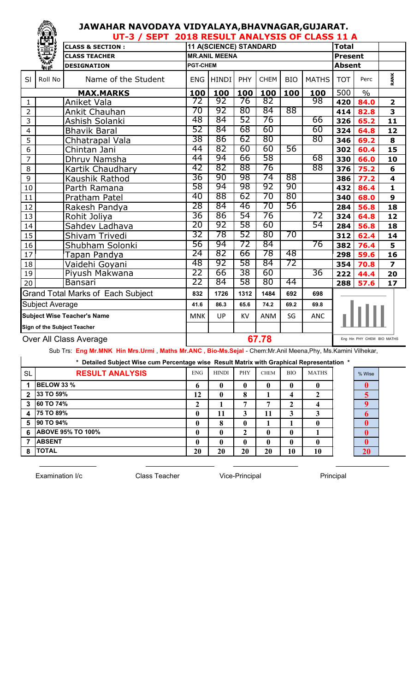## **JAWAHAR NAVODAYA VIDYALAYA,BHAVNAGAR,GUJARAT.**

|                | TEST.                              | UT-3 / SEPT 2018 RESULT ANALYSIS OF CLASS 11 A |                 |                        |           |             |                |              |              |                            |                         |  |  |  |
|----------------|------------------------------------|------------------------------------------------|-----------------|------------------------|-----------|-------------|----------------|--------------|--------------|----------------------------|-------------------------|--|--|--|
|                |                                    | <b>CLASS &amp; SECTION:</b>                    |                 | 11 A(SCIENCE) STANDARD |           |             |                |              | <b>Total</b> |                            |                         |  |  |  |
|                |                                    | <b>CLASS TEACHER</b>                           |                 | <b>MR.ANIL MEENA</b>   |           |             | <b>Present</b> |              |              |                            |                         |  |  |  |
|                | <b><i><u>Port</u></i></b>          | <b>DESIGNATION</b>                             | <b>PGT-CHEM</b> |                        |           |             | <b>Absent</b>  |              |              |                            |                         |  |  |  |
| SI             | Roll No                            | Name of the Student                            | <b>ENG</b>      | <b>HINDI</b>           | PHY       | <b>CHEM</b> | <b>BIO</b>     | <b>MATHS</b> | <b>TOT</b>   | Perc                       | RANK                    |  |  |  |
|                |                                    | <b>MAX.MARKS</b>                               | 100             | 100                    | 100       | 100         | 100            | 100          | 500          | $\frac{0}{0}$              |                         |  |  |  |
| $\mathbf{1}$   |                                    | Aniket Vala                                    | 72              | 92                     | 76        | 82          |                | 98           | 420          | 84.0                       | $\overline{\mathbf{2}}$ |  |  |  |
| $\overline{2}$ |                                    | Ankit Chauhan                                  | 70              | 92                     | 80        | 84          | 88             |              | 414          | 82.8                       | 3                       |  |  |  |
| 3              |                                    | Ashish Solanki                                 | 48              | 84                     | 52        | 76          |                | 66           | 326          | 65.2                       | 11                      |  |  |  |
| $\overline{4}$ |                                    | <b>Bhavik Baral</b>                            | 52              | 84                     | 68        | 60          |                | 60           | 324          | 64.8                       | 12                      |  |  |  |
| 5              |                                    | Chhatrapal Vala                                | 38              | 86                     | 62        | 80          |                | 80           | 346          | 69.2                       | 8                       |  |  |  |
| 6              |                                    | Chintan Jani                                   | 44              | 82                     | 60        | 60          | 56             |              | 302          | 60.4                       | 15                      |  |  |  |
| 7              |                                    | Dhruv Namsha                                   | 44              | 94                     | 66        | 58          |                | 68           | 330          | 66.0                       | 10                      |  |  |  |
| 8              |                                    | Kartik Chaudhary                               | 42              | 82                     | 88        | 76          |                | 88           | 376          | 75.2                       | 6                       |  |  |  |
| 9              |                                    | Kaushik Rathod                                 | 36              | 90                     | 98        | 74          | 88             |              | 386          | 77.2                       | $\overline{\mathbf{4}}$ |  |  |  |
| 10             |                                    | Parth Ramana                                   | 58              | 94                     | 98        | 92          | 90             |              | 432          | 86.4                       | $\overline{\mathbf{1}}$ |  |  |  |
| 11             |                                    | Pratham Patel                                  | 40              | 88                     | 62        | 70          | 80             |              | 340          | 68.0                       | 9                       |  |  |  |
| 12             |                                    | Rakesh Pandya                                  | 28              | 84                     | 46        | 70          | 56             |              | 284          | 56.8                       | 18                      |  |  |  |
| 13             |                                    | Rohit Joliya                                   | 36              | 86                     | 54        | 76          |                | 72           | 324          | 64.8                       | 12                      |  |  |  |
| 14             |                                    | Sahdev Ladhava                                 | 20              | 92                     | 58        | 60          |                | 54           | 284          | 56.8                       | 18                      |  |  |  |
| 15             |                                    | Shivam Trivedi                                 | 32              | 78                     | 52        | 80          | 70             |              | 312          | 62.4                       | 14                      |  |  |  |
| 16             |                                    | Shubham Solonki                                | 56              | 94                     | 72        | 84          |                | 76           | 382          | 76.4                       | 5                       |  |  |  |
| 17             |                                    | Tapan Pandya                                   | 24              | 82                     | 66        | 78          | 48             |              | 298          | 59.6                       | 16                      |  |  |  |
| 18             |                                    | Vaidehi Goyani                                 | 48              | 92                     | 58        | 84          | 72             |              | 354          | 70.8                       | $\overline{\mathbf{z}}$ |  |  |  |
| 19             |                                    | Piyush Makwana                                 | 22              | 66                     | 38        | 60          |                | 36           | 222          | 44.4                       | 20                      |  |  |  |
| 20             |                                    | Bansari                                        | 22              | 84                     | 58        | 80          | 44             |              | 288          | 57.6                       | 17                      |  |  |  |
|                |                                    | <b>Grand Total Marks of Each Subject</b>       | 832             | 1726                   | 1312      | 1484        | 692            | 698          |              |                            |                         |  |  |  |
|                | Subject Average                    |                                                | 41.6            | 86.3                   | 65.6      | 74.2        | 69.2           | 69.8         |              |                            |                         |  |  |  |
|                | <b>Subject Wise Teacher's Name</b> |                                                | <b>MNK</b>      | UP                     | <b>KV</b> | ANM         | SG             | <b>ANC</b>   |              |                            |                         |  |  |  |
|                | Sign of the Subject Teacher        |                                                |                 |                        |           |             |                |              |              |                            |                         |  |  |  |
|                | Over All Class Average             |                                                |                 | 67.78                  |           |             |                |              |              | Eng Hin PHY CHEM BIO MATHS |                         |  |  |  |

Sub Trs: **Eng Mr.MNK Hin Mrs.Urmi** , **Maths Mr.ANC , Bio-Ms.Sejal** - Chem:Mr.Anil Meena,Phy, Ms.Kamini Vilhekar,

| Detailed Subject Wise cum Percentage wise Result Matrix with Graphical Representation * |                          |            |              |            |              |              |              |  |                  |  |  |  |
|-----------------------------------------------------------------------------------------|--------------------------|------------|--------------|------------|--------------|--------------|--------------|--|------------------|--|--|--|
| <b>SL</b>                                                                               | <b>RESULT ANALYSIS</b>   | <b>ENG</b> | <b>HINDI</b> | <b>PHY</b> | <b>CHEM</b>  | BЮ           | <b>MATHS</b> |  | % Wise           |  |  |  |
|                                                                                         | <b>BELOW 33 %</b>        | 6          | $\mathbf{0}$ | 0          | 0            | $\mathbf{0}$ | 0            |  | $\bf{0}$         |  |  |  |
|                                                                                         | 33 TO 59%                | 12         | 0            | 8          |              | 4            |              |  | 5                |  |  |  |
| 3                                                                                       | 60 TO 74%                | ∍<br>∠     |              | ៗ          | 7            | ∍            | 4            |  |                  |  |  |  |
|                                                                                         | 75 TO 89%                | 0          | 11           | 3          | 11           | 3            |              |  | 6                |  |  |  |
| 5                                                                                       | <b>90 TO 94%</b>         | 0          | 8            | 0          |              |              |              |  | 0                |  |  |  |
| 6                                                                                       | <b>ABOVE 95% TO 100%</b> | 0          | $\mathbf{0}$ | 2          | 0            | 0            |              |  | 0                |  |  |  |
|                                                                                         | <b>ABSENT</b>            | 0          | 0            |            | $\mathbf{0}$ | 0            |              |  | $\boldsymbol{0}$ |  |  |  |
| 8                                                                                       | <b>TOTAL</b>             | 20         | 20           | 20         | 20           | 10           | 10           |  | 20               |  |  |  |

 $\_$  , and the set of the set of the set of the set of the set of the set of the set of the set of the set of the set of the set of the set of the set of the set of the set of the set of the set of the set of the set of th

Examination I/c **Class Teacher** Vice-Principal Principal Principal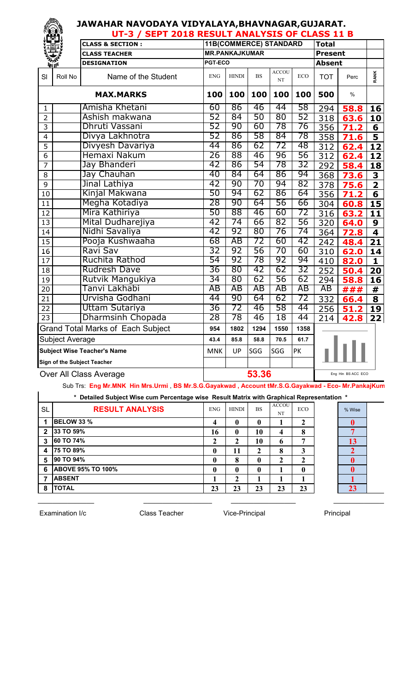|                 |                        | JAWAHAR NAVODAYA VIDYALAYA,BHAVNAGAR,GUJARAT.<br>UT-3 / SEPT 2018 RESULT ANALYSIS OF CLASS 11 B |            |                             |           |                               |                |                  |      |                         |
|-----------------|------------------------|-------------------------------------------------------------------------------------------------|------------|-----------------------------|-----------|-------------------------------|----------------|------------------|------|-------------------------|
|                 |                        | <b>CLASS &amp; SECTION:</b>                                                                     |            |                             |           | <b>11B(COMMERCE) STANDARD</b> |                | <b>Total</b>     |      |                         |
|                 |                        | <b>CLASS TEACHER</b>                                                                            |            | <b>MR.PANKAJKUMAR</b>       |           |                               | <b>Present</b> |                  |      |                         |
|                 | VII TEI                | <b>DESIGNATION</b>                                                                              | PGT-ECO    |                             |           |                               | <b>Absent</b>  |                  |      |                         |
| SI              | Roll No                | Name of the Student                                                                             | <b>ENG</b> | <b>HINDI</b>                | <b>BS</b> | <b>ACCOU</b><br>NT            | ECO            | <b>TOT</b>       | Perc | <b>RANK</b>             |
|                 |                        | <b>MAX.MARKS</b>                                                                                | 100        | 100                         | 100       | 100                           | 100            | 500              | $\%$ |                         |
| 1               |                        | Amisha Khetani                                                                                  | 60         | 86                          | 46        | 44                            | 58             | 294              | 58.8 | 16                      |
| $\overline{2}$  |                        | Ashish makwana                                                                                  | 52         | 84                          | 50        | 80                            | 52             | 318              | 63.6 | 10                      |
| 3               |                        | Dhruti Vassani                                                                                  | 52         | 90                          | 60        | 78                            | 76             | 356              | 71.2 | 6                       |
| 4               |                        | Divya Lakhnotra                                                                                 | 52         | 86                          | 58        | 84                            | 78             | 358              | 71.6 | 5                       |
| 5               |                        | Divyesh Davariya                                                                                | 44         | 86                          | 62        | 72                            | 48             | 312              | 62.4 | 12                      |
| 6               |                        | Hemaxi Nakum                                                                                    | 26         | 88                          | 46        | 96                            | 56             | $\overline{312}$ | 62.4 | <u>12</u>               |
| 7               |                        | Jay Bhanderi                                                                                    | 42         | 86                          | 54        | 78                            | 32             | 292              | 58.4 | 18                      |
| 8               |                        | Jay Chauhan                                                                                     | 40         | 84                          | 64        | 86                            | 94             | 368              | 73.6 | 3                       |
| 9               |                        | Jinal Lathiya                                                                                   | 42         | 90                          | 70        | 94                            | 82             | $\overline{378}$ | 75.6 | $\overline{\mathbf{2}}$ |
| 10              |                        | Kinjal Makwana                                                                                  | 50         | 94                          | 62        | 86                            | 64             | 356              | 71.2 | $\overline{\mathbf{6}}$ |
| 11              |                        | Megha Kotadiya                                                                                  | 28         | 90                          | 64        | 56                            | 66             | 304              | 60.8 | 15                      |
| 12              |                        | Mira Kathiriya                                                                                  | 50         | 88                          | 46        | 60                            | 72             | 316              | 63.2 | 11                      |
| 13              |                        | Mital Dudharejiya                                                                               | 42         | 74                          | 66        | 82                            | 56             | 320              | 64.0 | 9                       |
| 14              |                        | Nidhi Savaliya                                                                                  | 42         | 92                          | 80        | 76                            | 74             | 364              | 72.8 | 4                       |
| $1\overline{5}$ |                        | Pooja Kushwaaha                                                                                 | 68         | AB                          | 72        | 60                            | 42             | 242              | 48.4 | 21                      |
| 16              |                        | Ravi Sav                                                                                        | 32         | 92                          | 56        | 70                            | 60             | 310              | 62.0 | 14                      |
| 17              |                        | Ruchita Rathod                                                                                  | 54         | 92                          | 78        | 92                            | 94             | 410              | 82.0 | 1                       |
| $\overline{18}$ |                        | <b>Rudresh Dave</b>                                                                             | 36         | 80                          | 42        | 62                            | 32             | 252              | 50.4 | 20                      |
| 19              |                        | Rutvik Mangukiya                                                                                | 34         | 80                          | 62        | 56                            | 62             | 294              | 58.8 | 16                      |
| 20              |                        | Tanvi Lakhabi                                                                                   | AB         | AB                          | ΑB        | AB                            | AB             | AB               | ###  | #                       |
| 21              |                        | Urvisha Godhani                                                                                 | 44         | 90                          | 64        | 62                            | 72             | 332              | 66.4 | $\overline{\mathbf{8}}$ |
| 22              |                        | Uttam Sutariya                                                                                  | 36         | 72                          | 46        | 58                            | 44             | 256              | 51.2 | 19                      |
| 23              |                        | Dharmsinh Chopada                                                                               | 28         | 78                          | 46        | 18                            | 44             | 214              | 42.8 | 22                      |
|                 |                        | <b>Grand Total Marks of Each Subject</b>                                                        | 954        | 1802                        | 1294      | 1550                          | 1358           |                  |      |                         |
|                 | <b>Subject Average</b> |                                                                                                 | 43.4       | 85.8                        | 58.8      | 70.5                          | 61.7           |                  |      |                         |
|                 |                        | <b>Subject Wise Teacher's Name</b>                                                              | <b>MNK</b> | UP                          | SGG       | SGG                           | PK             |                  |      |                         |
|                 |                        | <b>Sign of the Subject Teacher</b>                                                              |            |                             |           |                               |                |                  |      |                         |
|                 | Over All Class Average |                                                                                                 |            | 53.36<br>Eng Hin BS ACC ECO |           |                               |                |                  |      |                         |

Sub Trs: **Eng Mr.MNK Hin Mrs.Urmi** , **BS Mr.S.G.Gayakwad , Account tMr.S.G.Gayakwad - Eco- Mr.PankajKumar**

|              | * Detailed Subject Wise cum Percentage wise Result Matrix with Graphical Representation * |            |              |              |                    |            |  |        |  |  |  |  |  |
|--------------|-------------------------------------------------------------------------------------------|------------|--------------|--------------|--------------------|------------|--|--------|--|--|--|--|--|
| <b>SL</b>    | <b>RESULT ANALYSIS</b>                                                                    | <b>ENG</b> | <b>HINDI</b> | <b>BS</b>    | <b>ACCOU</b><br>NT | <b>ECO</b> |  | % Wise |  |  |  |  |  |
|              | <b>BELOW 33 %</b>                                                                         | 4          |              | 0            |                    | 2          |  |        |  |  |  |  |  |
| $\mathbf{2}$ | 33 TO 59%                                                                                 | 16         | 0            | 10           | 4                  | 8          |  | ┑      |  |  |  |  |  |
| 3            | 60 TO 74%                                                                                 | 2          |              | 10           | b                  | 7          |  | 13     |  |  |  |  |  |
| 4            | <b>75 TO 89%</b>                                                                          | 0          | 11           | 2            | 8                  | 3          |  |        |  |  |  |  |  |
| 5            | 90 TO 94%                                                                                 | 0          | 8            | 0            |                    | 2          |  | 0      |  |  |  |  |  |
| 6            | <b>ABOVE 95% TO 100%</b>                                                                  | $\bf{0}$   | 0            | $\mathbf{0}$ |                    | 0          |  | 0      |  |  |  |  |  |
| 7            | <b>ABSENT</b>                                                                             |            | ኅ            |              |                    |            |  |        |  |  |  |  |  |
| 8            | <b>TOTAL</b>                                                                              | 23         | 23           | 23           | 23                 | 23         |  | 23     |  |  |  |  |  |

\_\_\_\_\_\_\_\_\_\_\_\_\_\_\_ \_\_\_\_\_\_\_\_\_\_\_\_\_\_\_\_\_\_ \_\_\_\_\_\_\_\_\_\_\_\_\_\_\_\_\_ \_\_\_\_\_\_\_\_\_\_\_\_\_\_

Examination I/c **Class Teacher** Vice-Principal Principal Principal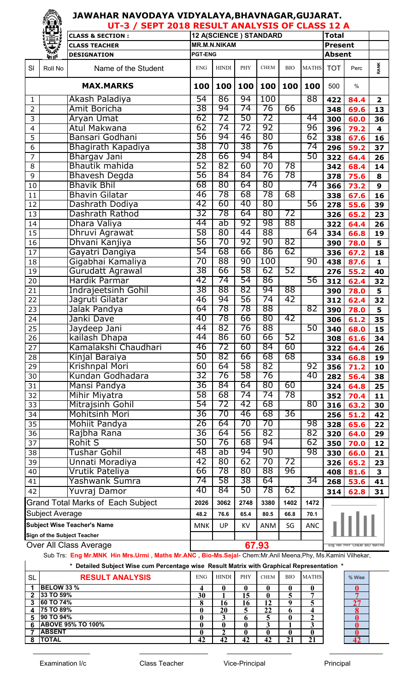|                 |                               |                                          | JAWAHAR NAVODAYA VIDYALAYA,BHAVNAGAR,GUJARAT.<br>UT-3 / SEPT 2018 RESULT ANALYSIS OF CLASS 12 A |                                     |                        |             |            |              |                |      |                         |  |  |
|-----------------|-------------------------------|------------------------------------------|-------------------------------------------------------------------------------------------------|-------------------------------------|------------------------|-------------|------------|--------------|----------------|------|-------------------------|--|--|
|                 |                               | <b>CLASS &amp; SECTION:</b>              |                                                                                                 |                                     | 12 A(SCIENCE) STANDARD |             |            |              | <b>Total</b>   |      |                         |  |  |
|                 |                               | <b>CLASS TEACHER</b>                     |                                                                                                 | <b>MR.M.N.NIKAM</b>                 |                        |             |            |              | <b>Present</b> |      |                         |  |  |
|                 | <b>ATT TEM</b>                | <b>DESIGNATION</b>                       | <b>PGT-ENG</b>                                                                                  |                                     |                        |             |            |              | <b>Absent</b>  |      |                         |  |  |
| SI              | Roll No                       | Name of the Student                      | <b>ENG</b>                                                                                      | <b>HINDI</b>                        | PHY                    | <b>CHEM</b> | <b>BIO</b> | <b>MATHS</b> | <b>TOT</b>     | Perc | <b>RANK</b>             |  |  |
|                 |                               | <b>MAX.MARKS</b>                         | 100                                                                                             | 100                                 | 100                    | 100         | 100        | 100          | 500            | $\%$ |                         |  |  |
| 1               |                               | Akash Paladiya                           | 54                                                                                              | 86                                  | 94                     | 100         |            | 88           | 422            | 84.4 | $\overline{\mathbf{2}}$ |  |  |
| $\overline{2}$  |                               | Amit Boricha                             | 38                                                                                              | 94                                  | 74                     | 76          | 66         |              | 348            | 69.6 | 13                      |  |  |
| 3               |                               | <b>Aryan Umat</b>                        | 62                                                                                              | 72                                  | 50                     | 72          |            | 44           | 300            | 60.0 | 36                      |  |  |
| $\overline{4}$  |                               | Atul Makwana                             | 62                                                                                              | 74                                  | 72                     | 92          |            | 96           | 396            | 79.2 | 4                       |  |  |
| 5               |                               | Bansari Godhani                          | 56                                                                                              | 94                                  | 46                     | 80          |            | 62           | 338            | 67.6 | 16                      |  |  |
| 6               |                               | Bhagirath Kapadiya                       | 38                                                                                              | 70                                  | 38                     | 76          |            | 74           | 296            | 59.2 | 37                      |  |  |
| 7               |                               | Bhargav Jani                             | 28                                                                                              | 66                                  | 94                     | 84          |            | 50           | 322            | 64.4 | 26                      |  |  |
| 8               |                               | Bhautik mahida                           | 52                                                                                              | 82                                  | 60                     | 70          | 78         |              | 342            | 68.4 | 14                      |  |  |
| 9               |                               | <b>Bhavesh Degda</b>                     | 56                                                                                              | 84                                  | 84                     | 76          | 78         |              | 378            | 75.6 | 8                       |  |  |
| 10              |                               | <b>Bhavik Bhil</b>                       | 68                                                                                              | 80                                  | 64                     | 80          |            | 74           | 366            | 73.2 | 9                       |  |  |
| 11              |                               | <b>Bhavin Gilatar</b>                    | 46                                                                                              | 78                                  | 68                     | 78          | 68         |              | 338            | 67.6 | 16                      |  |  |
| 12              |                               | Dashrath Dodiya                          | 42                                                                                              | 60                                  | 40                     | 80          |            | 56           | 278            | 55.6 | 39                      |  |  |
| 13              |                               | Dashrath Rathod                          | 32                                                                                              | 78                                  | 64                     | 80          | 72         |              | 326            | 65.2 | 23                      |  |  |
| 14              |                               | Dhara Valiya                             | 44                                                                                              | ab                                  | 92                     | 98          | 88         |              | 322            | 64.4 | 26                      |  |  |
| 15              |                               | Dhruvi Agrawat                           | 58                                                                                              | 80                                  | 44                     | 88          |            | 64           | 334            | 66.8 | 19                      |  |  |
| 16              |                               | Dhvani Kanjiya                           | 56                                                                                              | 70                                  | 92                     | 90          | 82         |              | 390            | 78.0 | 5                       |  |  |
| 17              |                               | Gayatri Dangiya                          | 54                                                                                              | 68                                  | 66                     | 86          | 62         |              | 336            | 67.2 | 18                      |  |  |
| 18              |                               | Gigabhai Kamaliya                        | 70                                                                                              | 88                                  | 90                     | 100         |            | 90           | 438            | 87.6 | $\mathbf{1}$            |  |  |
| 19              |                               | Gurudatt Agrawal                         | 38                                                                                              | 66                                  | 58                     | 62          | 52         |              | 276            | 55.2 | 40                      |  |  |
| 20              |                               | <b>Hardik Parmar</b>                     | 42                                                                                              | 74                                  | 54                     | 86          |            | 56           | 312            | 62.4 | 32                      |  |  |
| 21              |                               | <b>Indrajeetsinh Gohil</b>               | 38                                                                                              | 88                                  | 82                     | 94          | 88         |              | 390            | 78.0 | 5                       |  |  |
| $\overline{22}$ |                               | Jagruti Gilatar                          | 46                                                                                              | 94                                  | 56                     | 74          | 42         |              | 312            | 62.4 | 32                      |  |  |
| 23              |                               | Jalak Pandya                             | 64                                                                                              | 78                                  | 78                     | 88          |            | 82           | 390            | 78.0 | 5                       |  |  |
| 24              |                               | Janki Dave                               | 40                                                                                              | 78                                  | 66                     | 80          | 42         |              | 306            | 61.2 | 35                      |  |  |
| 25              |                               | Jaydeep Jani                             | 44                                                                                              | 82                                  | 76                     | 88          |            | 50           | 340            | 68.0 | 15                      |  |  |
| 26              |                               | kailash Dhapa                            | 44                                                                                              | 86                                  | 60                     | 66          | 52         |              | 308            | 61.6 | 34                      |  |  |
| 27              |                               | Kamalakshi Chaudhari                     | 46                                                                                              | 72                                  | 60                     | 84          | 60         |              | 322            | 64.4 | 26                      |  |  |
| 28              |                               | Kinjal Baraiya                           | 50                                                                                              | 82                                  | 66                     | 68          | 68         |              | 334            | 66.8 | 19                      |  |  |
| 29              |                               | Krishnpal Mori                           | 60                                                                                              | 64                                  | 58                     | 82          |            | 92           | 356            | 71.2 | 10                      |  |  |
| 30              |                               | Kundan Godhadara                         | 32                                                                                              | 76                                  | 58                     | 76          |            | 40           | 282            | 56.4 | 38                      |  |  |
| 31              |                               | Mansi Pandya                             | 36                                                                                              | 84                                  | 64                     | 80          | 60         |              | 324            | 64.8 | 25                      |  |  |
| 32              |                               | Mihir Miyatra                            | 58                                                                                              | 68                                  | 74                     | 74          | 78         |              | 352            | 70.4 | 11                      |  |  |
| 33              |                               | Mitrajsinh Gohil                         | 54                                                                                              | 72                                  | 42                     | 68          |            | 80           | 316            | 63.2 | 30                      |  |  |
| 34              |                               | Mohitsinh Mori                           | 36                                                                                              | 70                                  | 46                     | 68          | 36         |              | 256            | 51.2 | 42                      |  |  |
| 35              |                               | Mohiit Pandya                            | 26                                                                                              | 64                                  | 70                     | 70<br>82    |            | 98           | 328            | 65.6 | 22                      |  |  |
| $\overline{36}$ |                               | Rajbha Rana                              | 36<br>50                                                                                        | 64<br>76                            | 56<br>68               | 94          |            | 82<br>62     | 320            | 64.0 | 29                      |  |  |
| 37              |                               | <b>Rohit S</b>                           |                                                                                                 |                                     |                        | 90          |            |              | 350            | 70.0 | 12                      |  |  |
| 38              |                               | Tushar Gohil                             | 48<br>42                                                                                        | ab                                  | 94<br>62               | 70          |            | 98           | 330            | 66.0 | 21                      |  |  |
| 39              |                               | Unnati Moradiya                          |                                                                                                 | 80                                  |                        | 88          | 72         |              | 326            | 65.2 | 23                      |  |  |
| 40              |                               | Vrutik Pateliya<br>Yashwank Sumra        | 66<br>74                                                                                        | 78<br>58                            | 80<br>38               | 64          | 96         | 34           | 408            | 81.6 | 3                       |  |  |
| 41              |                               |                                          | 40                                                                                              | 84                                  | 50                     | 78          | 62         |              | 268            | 53.6 | 41                      |  |  |
| 42              |                               | Yuvraj Damor                             |                                                                                                 |                                     |                        |             |            |              | 314            | 62.8 | 31                      |  |  |
|                 |                               | <b>Grand Total Marks of Each Subject</b> | 2026                                                                                            | 3062                                | 2748                   | 3380        | 1402       | 1472         |                |      |                         |  |  |
|                 | <b>Subject Average</b>        |                                          | 48.2                                                                                            | 76.6                                | 65.4                   | 80.5        | 66.8       | 70.1         |                |      |                         |  |  |
|                 |                               | <b>Subject Wise Teacher's Name</b>       | <b>MNK</b>                                                                                      | UP                                  | KV                     | ANM         | SG         | <b>ANC</b>   |                |      |                         |  |  |
|                 |                               | Sign of the Subject Teacher              |                                                                                                 |                                     |                        |             |            |              |                |      |                         |  |  |
|                 | <b>Over All Class Average</b> |                                          |                                                                                                 | 67.93<br>Eng Hin PHY CHEM BIO MATHS |                        |             |            |              |                |      |                         |  |  |

## Sub Trs: **Eng Mr.MNK Hin Mrs.Urmi** , **Maths Mr.ANC , Bio-Ms.Sejal**- Chem:Mr.Anil Meena,Phy, Ms.Kamini Vilhekar,

 $\_$  , and the set of the set of the set of the set of the set of the set of the set of the set of the set of the set of the set of the set of the set of the set of the set of the set of the set of the set of the set of th

|           | * Detailed Subject Wise cum Percentage wise Result Matrix with Graphical Representation * |              |              |            |             |            |              |  |        |  |  |  |  |  |
|-----------|-------------------------------------------------------------------------------------------|--------------|--------------|------------|-------------|------------|--------------|--|--------|--|--|--|--|--|
| <b>SL</b> | <b>RESULT ANALYSIS</b>                                                                    | <b>ENG</b>   | <b>HINDI</b> | <b>PHY</b> | <b>CHEM</b> | <b>BIO</b> | <b>MATHS</b> |  | % Wise |  |  |  |  |  |
|           | <b>BELOW 33 %</b>                                                                         | Δ            |              | O          |             |            |              |  |        |  |  |  |  |  |
| າ         | 33 TO 59%                                                                                 | 30           |              | 15         |             |            |              |  |        |  |  |  |  |  |
| 3         | <b>60 TO 74%</b>                                                                          |              | 16           | 16         | 12          | o          |              |  | 27     |  |  |  |  |  |
| 4         | <b>75 TO 89%</b>                                                                          | 0            | 20           |            | 22          |            |              |  |        |  |  |  |  |  |
| 5         | 90 TO 94%                                                                                 | $\mathbf{0}$ |              | h          |             |            |              |  |        |  |  |  |  |  |
| 6         | <b>ABOVE 95% TO 100%</b>                                                                  | $\mathbf{0}$ |              | 0          |             |            |              |  |        |  |  |  |  |  |
|           | <b>ABSENT</b>                                                                             | 0            |              | 0          |             |            |              |  |        |  |  |  |  |  |
| 8         | <b>TOTAL</b>                                                                              | 42           | 42           | 42         | 42          | 21         |              |  |        |  |  |  |  |  |